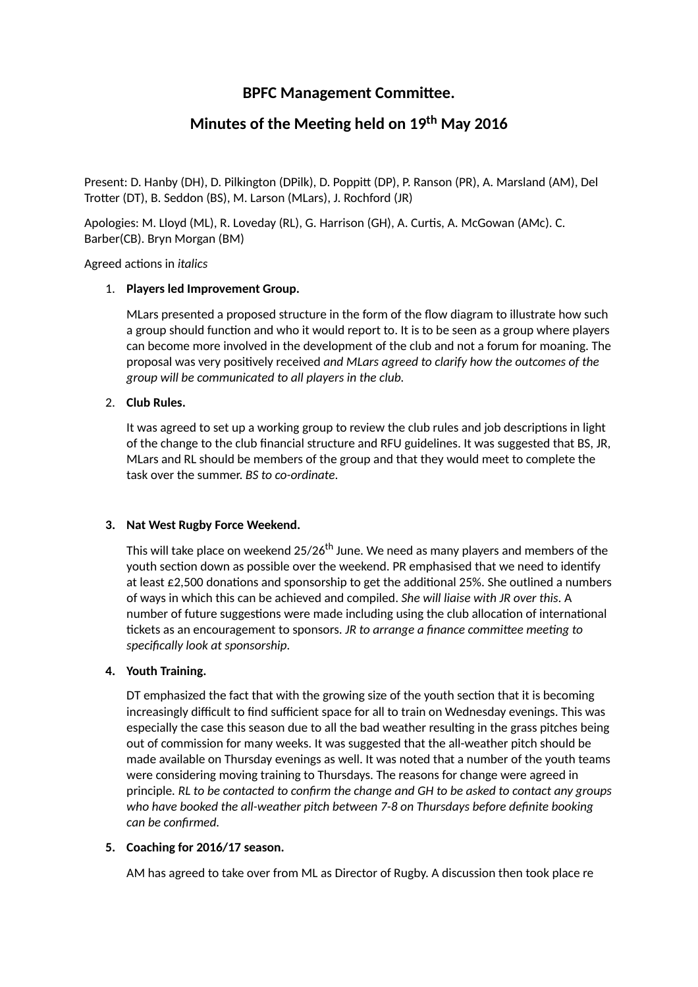## **BPFC Management Committee.**

# **Minutes of the Meeng held on 19 th May 2016**

Present: D. Hanby (DH), D. Pilkington (DPilk), D. Poppitt (DP), P. Ranson (PR), A. Marsland (AM), Del Trotter (DT), B. Seddon (BS), M. Larson (MLars), J. Rochford (JR)

Apologies: M. Lloyd (ML), R. Loveday (RL), G. Harrison (GH), A. Curtis, A. McGowan (AMc). C. Barber(CB). Bryn Morgan (BM)

Agreed actions in *italics* 

#### 1. **Players led Improvement Group.**

MLars presented a proposed structure in the form of the flow diagram to illustrate how such a group should function and who it would report to. It is to be seen as a group where players can become more involved in the development of the club and not a forum for moaning. The proposal was very posively received *and MLars agreed to clarify how the outcomes of the group will be communicated to all players in the club.*

#### 2. **Club Rules.**

It was agreed to set up a working group to review the club rules and job descriptions in light of the change to the club financial structure and RFU guidelines. It was suggested that BS, JR, MLars and RL should be members of the group and that they would meet to complete the task over the summer. *BS to co-ordinate*.

#### **3. Nat West Rugby Force Weekend.**

This will take place on weekend 25/26<sup>th</sup> June. We need as many players and members of the youth section down as possible over the weekend. PR emphasised that we need to identify at least  $£2,500$  donations and sponsorship to get the additional 25%. She outlined a numbers of ways in which this can be achieved and compiled. *She will liaise with JR over this*. A number of future suggestions were made including using the club allocation of international fickets as an encouragement to sponsors. *JR* to *arrange a finance committee meeting to specifically look at sponsorship.*

#### **4. Youth Training.**

DT emphasized the fact that with the growing size of the youth section that it is becoming increasingly difficult to find sufficient space for all to train on Wednesday evenings. This was especially the case this season due to all the bad weather resulting in the grass pitches being out of commission for many weeks. It was suggested that the all-weather pitch should be made available on Thursday evenings as well. It was noted that a number of the youth teams were considering moving training to Thursdays. The reasons for change were agreed in principle*. RL to be contacted to confirm the change and GH to be asked to contact any groups who have booked the all-weather pitch between 7-8 on Thursdays before definite booking can be confirmed.*

#### **5. Coaching for 2016/17 season.**

AM has agreed to take over from ML as Director of Rugby. A discussion then took place re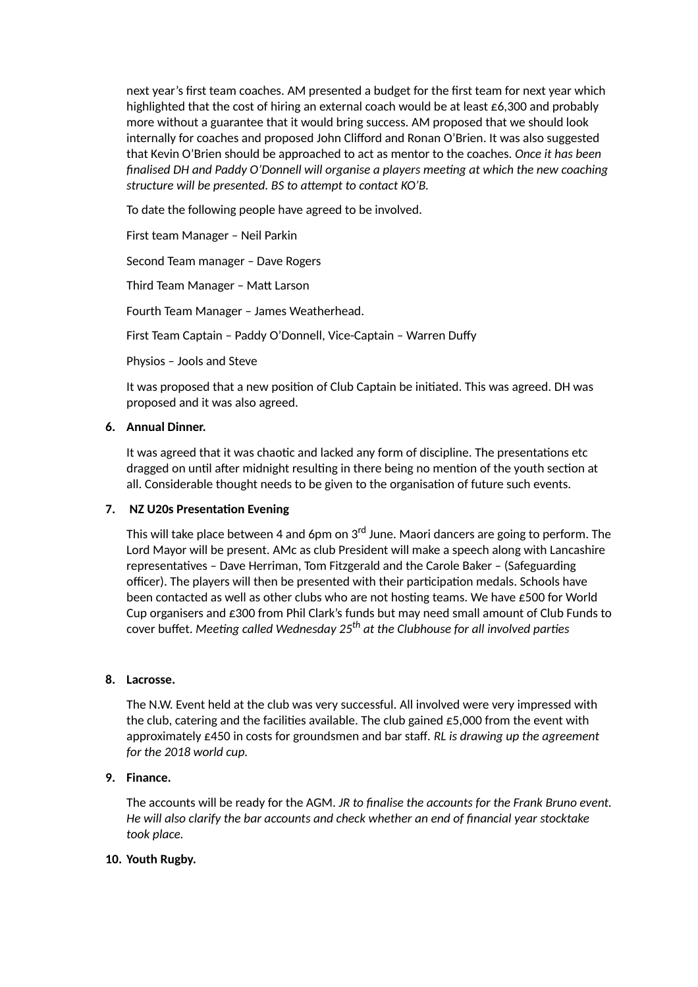next year's first team coaches. AM presented a budget for the first team for next year which highlighted that the cost of hiring an external coach would be at least £6,300 and probably more without a guarantee that it would bring success. AM proposed that we should look internally for coaches and proposed John Clifford and Ronan O'Brien. It was also suggested that Kevin O'Brien should be approached to act as mentor to the coaches. *Once it has been finalised DH and Paddy O'Donnell will organise a players meeng at which the new coaching structure will be presented. BS to aempt to contact KO'B.*

To date the following people have agreed to be involved.

First team Manager – Neil Parkin

Second Team manager – Dave Rogers

Third Team Manager - Matt Larson

Fourth Team Manager – James Weatherhead.

First Team Captain – Paddy O'Donnell, Vice-Captain – Warren Duffy

Physios – Jools and Steve

It was proposed that a new position of Club Captain be initiated. This was agreed. DH was proposed and it was also agreed.

#### **6. Annual Dinner.**

It was agreed that it was chaotic and lacked any form of discipline. The presentations etc dragged on until after midnight resulting in there being no mention of the youth section at all. Considerable thought needs to be given to the organisation of future such events.

#### **7. NZ** U20s Presentation Evening

This will take place between 4 and 6pm on 3<sup>rd</sup> June. Maori dancers are going to perform. The Lord Mayor will be present. AMc as club President will make a speech along with Lancashire representatives - Dave Herriman, Tom Fitzgerald and the Carole Baker - (Safeguarding officer). The players will then be presented with their participation medals. Schools have been contacted as well as other clubs who are not hosting teams. We have  $\epsilon$ 500 for World Cup organisers and £300 from Phil Clark's funds but may need small amount of Club Funds to  $\epsilon$ over buffet. Meeting called Wednesday 25<sup>th</sup> at the Clubhouse for all involved parties

#### **8. Lacrosse.**

The N.W. Event held at the club was very successful. All involved were very impressed with the club, catering and the facilities available. The club gained  $\epsilon$ 5,000 from the event with approximately £450 in costs for groundsmen and bar staff*. RL is drawing up the agreement for the 2018 world cup.*

## **9. Finance.**

The accounts will be ready for the AGM. *JR to finalise the accounts for the Frank Bruno event. He will also clarify the bar accounts and check whether an end of financial year stocktake took place.*

## **10. Youth Rugby.**